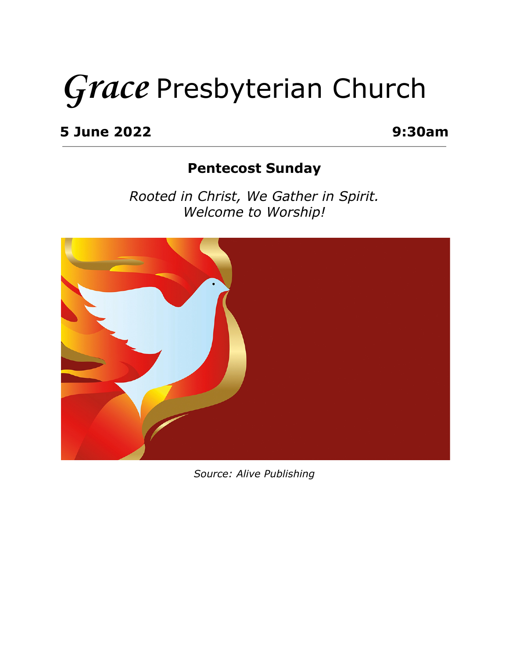# **Grace** Presbyterian Church

**5 June 2022 9:30am**

#### **Pentecost Sunday**

*Rooted in Christ, We Gather in Spirit. Welcome to Worship!*



*Source: Alive Publishing*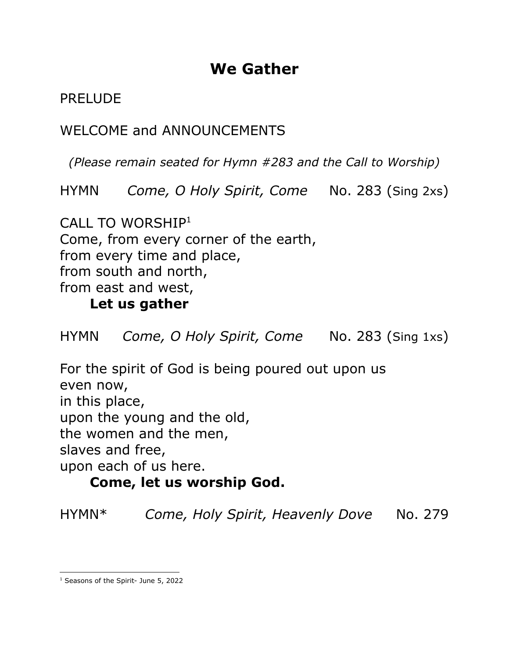## **We Gather**

PRELUDE

WELCOME and ANNOUNCEMENTS

*(Please remain seated for Hymn #283 and the Call to Worship)*

HYMN *Come, O Holy Spirit, Come* No. 283 (Sing 2xs)

CALL TO WORSHIP<sup>1</sup> Come, from every corner of the earth, from every time and place, from south and north, from east and west,

#### **Let us gather**

HYMN *Come, O Holy Spirit, Come* No. 283 (Sing 1xs)

For the spirit of God is being poured out upon us even now, in this place, upon the young and the old, the women and the men, slaves and free, upon each of us here.

#### **Come, let us worship God.**

HYMN\* *Come, Holy Spirit, Heavenly Dove* No. 279

<sup>&</sup>lt;sup>1</sup> Seasons of the Spirit- June 5, 2022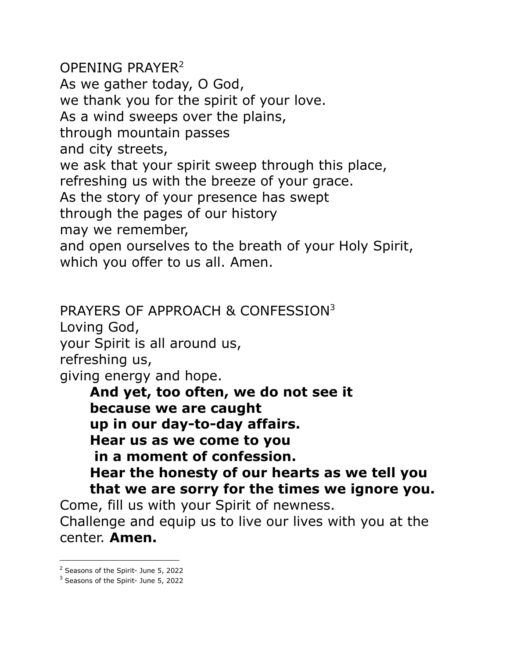OPENING PRAYER<sup>2</sup> As we gather today, O God, we thank you for the spirit of your love. As a wind sweeps over the plains, through mountain passes and city streets, we ask that your spirit sweep through this place, refreshing us with the breeze of your grace. As the story of your presence has swept through the pages of our history may we remember, and open ourselves to the breath of your Holy Spirit, which you offer to us all. Amen.

PRAYERS OF APPROACH & CONFESSION<sup>3</sup>

Loving God,

your Spirit is all around us,

refreshing us,

giving energy and hope.

**And yet, too often, we do not see it because we are caught up in our day-to-day affairs. Hear us as we come to you in a moment of confession. Hear the honesty of our hearts as we tell you that we are sorry for the times we ignore you.**

Come, fill us with your Spirit of newness.

Challenge and equip us to live our lives with you at the center. **Amen.**

<sup>2</sup> Seasons of the Spirit- June 5, 2022

<sup>3</sup> Seasons of the Spirit- June 5, 2022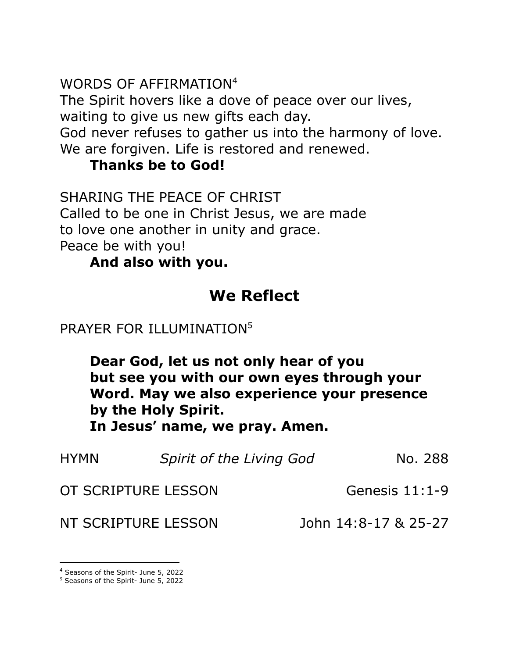WORDS OF AFFIRMATION 4

The Spirit hovers like a dove of peace over our lives, waiting to give us new gifts each day.

God never refuses to gather us into the harmony of love. We are forgiven. Life is restored and renewed.

#### **Thanks be to God!**

SHARING THE PEACE OF CHRIST Called to be one in Christ Jesus, we are made to love one another in unity and grace. Peace be with you!

**And also with you.**

## **We Reflect**

#### PRAYER FOR ILLUMINATION<sup>5</sup>

**Dear God, let us not only hear of you but see you with our own eyes through your Word. May we also experience your presence by the Holy Spirit. In Jesus' name, we pray. Amen.**

| <b>HYMN</b> | Spirit of the Living God | No. 288              |
|-------------|--------------------------|----------------------|
|             | OT SCRIPTURE LESSON      | Genesis $11:1-9$     |
|             | NT SCRIPTURE LESSON      | John 14:8-17 & 25-27 |

<sup>4</sup> Seasons of the Spirit- June 5, 2022

<sup>5</sup> Seasons of the Spirit- June 5, 2022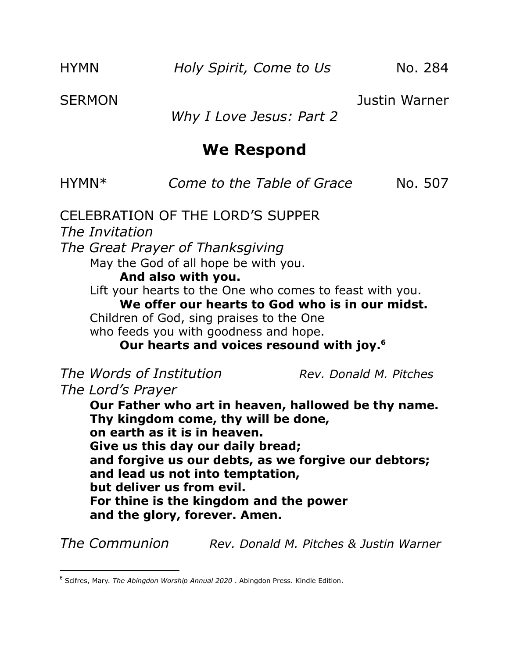SERMON Justin Warner

*Why I Love Jesus: Part 2*

#### **We Respond**

| HYMN* |  | Come to the Table of Grace | No. 507 |
|-------|--|----------------------------|---------|
|-------|--|----------------------------|---------|

CELEBRATION OF THE LORD'S SUPPER *The Invitation The Great Prayer of Thanksgiving* May the God of all hope be with you. **And also with you.** Lift your hearts to the One who comes to feast with you. **We offer our hearts to God who is in our midst.** Children of God, sing praises to the One who feeds you with goodness and hope. **Our hearts and voices resound with joy. 6** *The Words of Institution Rev. Donald M. Pitches The Lord's Prayer* **Our Father who art in heaven, hallowed be thy name.**

**Thy kingdom come, thy will be done, on earth as it is in heaven. Give us this day our daily bread; and forgive us our debts, as we forgive our debtors; and lead us not into temptation, but deliver us from evil. For thine is the kingdom and the power and the glory, forever. Amen.**

*The Communion Rev. Donald M. Pitches & Justin Warner*

<sup>6</sup> Scifres, Mary. *The Abingdon Worship Annual 2020* . Abingdon Press. Kindle Edition.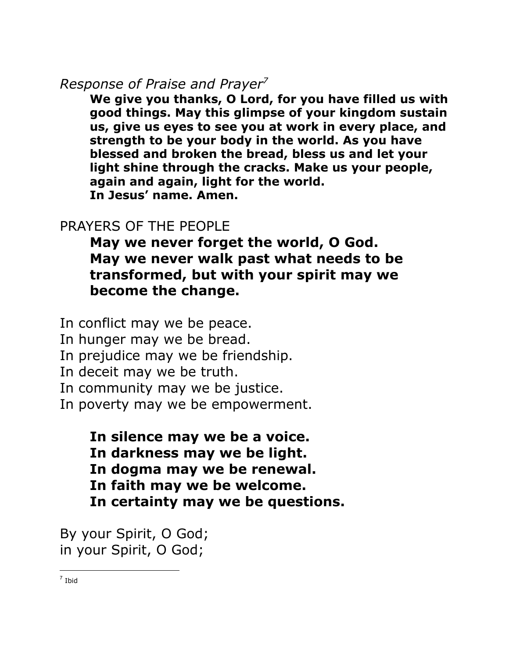#### *Response of Praise and Prayer 7*

**We give you thanks, O Lord, for you have filled us with good things. May this glimpse of your kingdom sustain us, give us eyes to see you at work in every place, and strength to be your body in the world. As you have blessed and broken the bread, bless us and let your light shine through the cracks. Make us your people, again and again, light for the world. In Jesus' name. Amen.**

#### PRAYERS OF THE PEOPLE

**May we never forget the world, O God. May we never walk past what needs to be transformed, but with your spirit may we become the change.**

In conflict may we be peace. In hunger may we be bread. In prejudice may we be friendship. In deceit may we be truth. In community may we be justice. In poverty may we be empowerment.

> **In silence may we be a voice. In darkness may we be light. In dogma may we be renewal. In faith may we be welcome. In certainty may we be questions.**

By your Spirit, O God; in your Spirit, O God;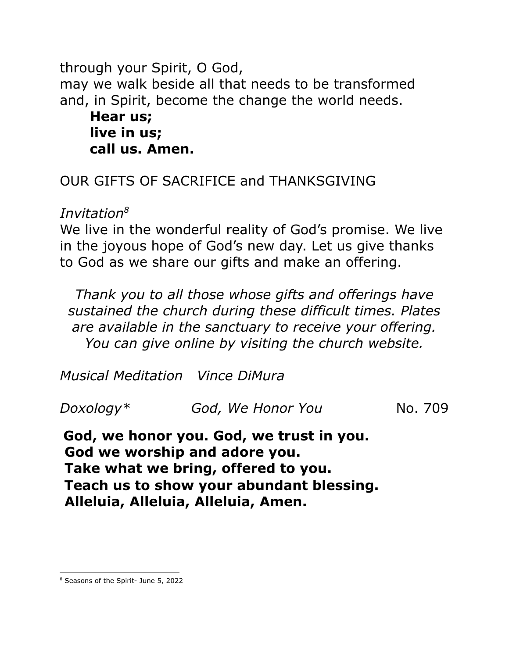through your Spirit, O God, may we walk beside all that needs to be transformed and, in Spirit, become the change the world needs. **Hear us; live in us; call us. Amen.**

OUR GIFTS OF SACRIFICE and THANKSGIVING

*Invitation 8*

We live in the wonderful reality of God's promise. We live in the joyous hope of God's new day. Let us give thanks to God as we share our gifts and make an offering.

*Thank you to all those whose gifts and offerings have sustained the church during these difficult times. Plates are available in the sanctuary to receive your offering. You can give online by visiting the church website.*

*Musical Meditation Vince DiMura*

| God, We Honor You<br>No. 709<br>Doxology $^\ast$ |  |
|--------------------------------------------------|--|
|--------------------------------------------------|--|

**God, we honor you. God, we trust in you. God we worship and adore you. Take what we bring, offered to you. Teach us to show your abundant blessing. Alleluia, Alleluia, Alleluia, Amen.**

<sup>8</sup> Seasons of the Spirit- June 5, 2022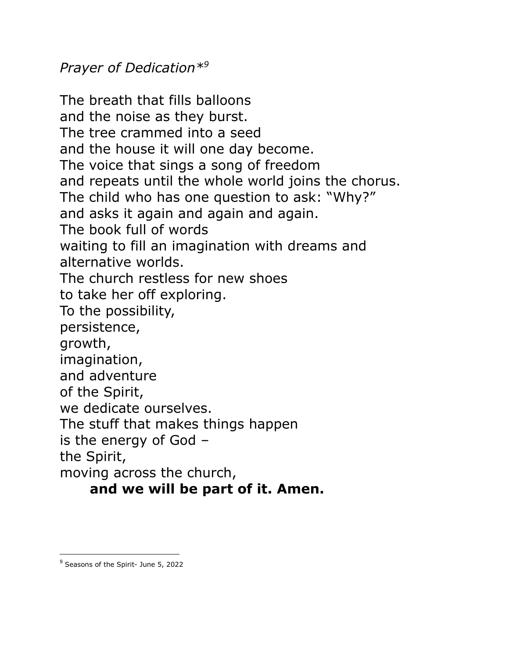*Prayer of Dedication\* 9*

The breath that fills balloons and the noise as they burst. The tree crammed into a seed and the house it will one day become. The voice that sings a song of freedom and repeats until the whole world joins the chorus. The child who has one question to ask: "Why?" and asks it again and again and again. The book full of words waiting to fill an imagination with dreams and alternative worlds. The church restless for new shoes to take her off exploring. To the possibility, persistence, growth, imagination, and adventure of the Spirit, we dedicate ourselves. The stuff that makes things happen is the energy of God – the Spirit, moving across the church,

#### **and we will be part of it. Amen.**

<sup>&</sup>lt;sup>9</sup> Seasons of the Spirit- June 5, 2022